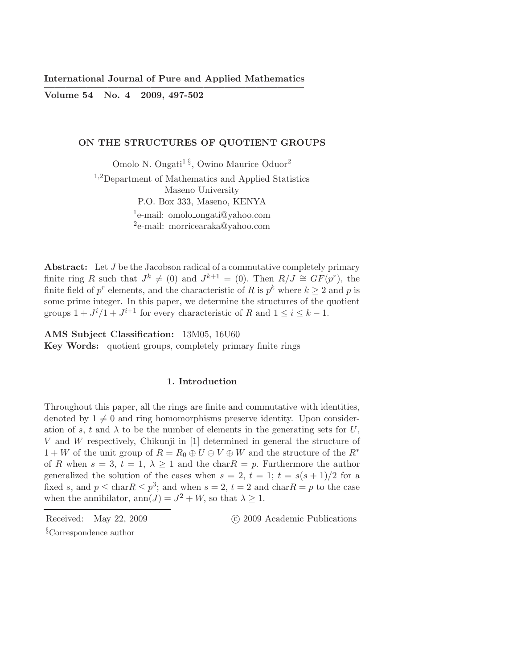Volume 54 No. 4 2009, 497-502

### ON THE STRUCTURES OF QUOTIENT GROUPS

Omolo N. Ongati<sup>1§</sup>, Owino Maurice Oduor<sup>2</sup> <sup>1</sup>,2Department of Mathematics and Applied Statistics Maseno University P.O. Box 333, Maseno, KENYA <sup>1</sup>e-mail: omolo\_ongati@yahoo.com 2 e-mail: morricearaka@yahoo.com

Abstract: Let J be the Jacobson radical of a commutative completely primary finite ring R such that  $J^k \neq (0)$  and  $J^{k+1} = (0)$ . Then  $R/J \cong GF(p^r)$ , the finite field of  $p^r$  elements, and the characteristic of R is  $p^k$  where  $k \geq 2$  and p is some prime integer. In this paper, we determine the structures of the quotient groups  $1 + J^i/1 + J^{i+1}$  for every characteristic of R and  $1 \le i \le k - 1$ .

AMS Subject Classification: 13M05, 16U60

Key Words: quotient groups, completely primary finite rings

# 1. Introduction

Throughout this paper, all the rings are finite and commutative with identities, denoted by  $1 \neq 0$  and ring homomorphisms preserve identity. Upon consideration of s, t and  $\lambda$  to be the number of elements in the generating sets for U, V and W respectively, Chikunji in [1] determined in general the structure of  $1 + W$  of the unit group of  $R = R_0 \oplus U \oplus V \oplus W$  and the structure of the  $R^*$ of R when  $s = 3$ ,  $t = 1$ ,  $\lambda \geq 1$  and the char  $R = p$ . Furthermore the author generalized the solution of the cases when  $s = 2$ ,  $t = 1$ ;  $t = s(s + 1)/2$  for a fixed s, and  $p \leq \text{char} R \leq p^3$ ; and when  $s = 2$ ,  $t = 2$  and  $\text{char} R = p$  to the case when the annihilator,  $ann(J) = J^2 + W$ , so that  $\lambda \geq 1$ .

Received: May 22, 2009 (C) 2009 Academic Publications

<sup>§</sup>Correspondence author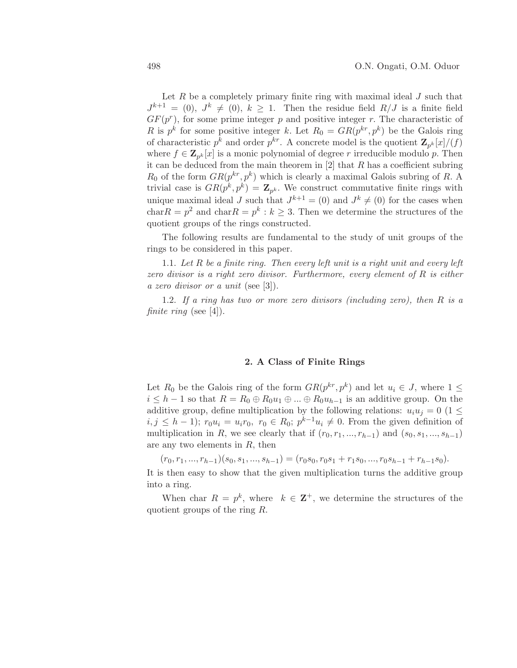Let  $R$  be a completely primary finite ring with maximal ideal  $J$  such that  $J^{k+1} = (0), J^k \neq (0), k \geq 1$ . Then the residue field  $R/J$  is a finite field  $GF(p^r)$ , for some prime integer p and positive integer r. The characteristic of R is  $p^k$  for some positive integer k. Let  $R_0 = \frac{GR(p^{kr}, p^k)}{p^{k}}$  be the Galois ring of characteristic  $p^k$  and order  $p^{kr}$ . A concrete model is the quotient  $\mathbf{Z}_{p^k}[x]/(f)$ where  $f \in \mathbf{Z}_{p^k}[x]$  is a monic polynomial of degree r irreducible modulo p. Then it can be deduced from the main theorem in  $[2]$  that R has a coefficient subring  $R_0$  of the form  $GR(p^{kr}, p^k)$  which is clearly a maximal Galois subring of R. A trivial case is  $GR(p^k, p^k) = \mathbf{Z}_{p^k}$ . We construct commutative finite rings with unique maximal ideal J such that  $J^{k+1} = (0)$  and  $J^k \neq (0)$  for the cases when char $R = p^2$  and char $R = p^k : k \geq 3$ . Then we determine the structures of the quotient groups of the rings constructed.

The following results are fundamental to the study of unit groups of the rings to be considered in this paper.

1.1. Let R be a finite ring. Then every left unit is a right unit and every left zero divisor is a right zero divisor. Furthermore, every element of R is either a zero divisor or a unit (see [3]).

1.2. If a ring has two or more zero divisors (including zero), then R is a finite ring (see [4]).

# 2. A Class of Finite Rings

Let  $R_0$  be the Galois ring of the form  $GR(p^{kr}, p^k)$  and let  $u_i \in J$ , where  $1 \leq$  $i \leq h-1$  so that  $R = R_0 \oplus R_0 u_1 \oplus ... \oplus R_0 u_{h-1}$  is an additive group. On the additive group, define multiplication by the following relations:  $u_i u_j = 0$  (1  $\leq$  $i, j \leq h-1$ );  $r_0u_i = u_i r_0, r_0 \in R_0$ ;  $p^{k-1}u_i \neq 0$ . From the given definition of multiplication in R, we see clearly that if  $(r_0, r_1, ..., r_{h-1})$  and  $(s_0, s_1, ..., s_{h-1})$ are any two elements in  $R$ , then

 $(r_0, r_1, ..., r_{h-1})(s_0, s_1, ..., s_{h-1}) = (r_0s_0, r_0s_1 + r_1s_0, ..., r_0s_{h-1} + r_{h-1}s_0).$ 

It is then easy to show that the given multiplication turns the additive group into a ring.

When char  $R = p^k$ , where  $k \in \mathbb{Z}^+$ , we determine the structures of the quotient groups of the ring R.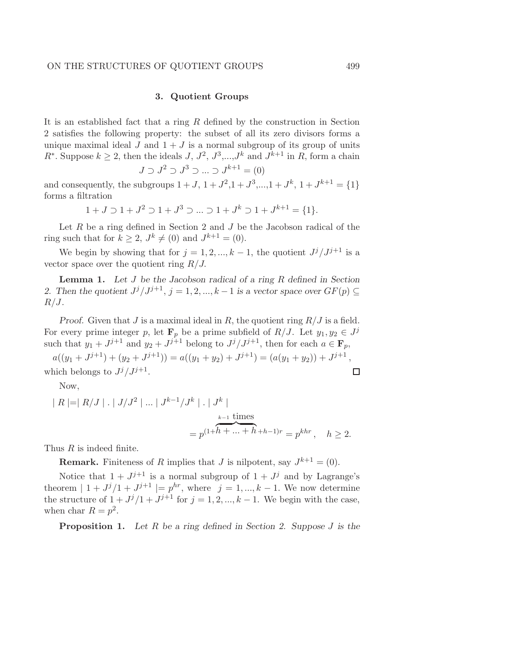#### ON THE STRUCTURES OF QUOTIENT GROUPS 499

# 3. Quotient Groups

It is an established fact that a ring R defined by the construction in Section 2 satisfies the following property: the subset of all its zero divisors forms a unique maximal ideal J and  $1 + J$  is a normal subgroup of its group of units  $R^*$ . Suppose  $k \geq 2$ , then the ideals  $J, J^2, J^3, \ldots, J^k$  and  $J^{k+1}$  in  $R$ , form a chain  $J \supset J^2 \supset J^3 \supset ... \supset J^{k+1} = (0)$ 

and consequently, the subgroups  $1 + J$ ,  $1 + J^2$ ,  $1 + J^3$ ,..., $1 + J^k$ ,  $1 + J^{k+1} = \{1\}$ forms a filtration

$$
1 + J \supset 1 + J^2 \supset 1 + J^3 \supset \dots \supset 1 + J^k \supset 1 + J^{k+1} = \{1\}.
$$

Let  $R$  be a ring defined in Section 2 and  $J$  be the Jacobson radical of the ring such that for  $k \geq 2$ ,  $J^k \neq (0)$  and  $J^{k+1} = (0)$ .

We begin by showing that for  $j = 1, 2, ..., k - 1$ , the quotient  $J^{j}/J^{j+1}$  is a vector space over the quotient ring  $R/J$ .

**Lemma 1.** Let  $J$  be the Jacobson radical of a ring  $R$  defined in Section 2. Then the quotient  $J^{j}/J^{j+1}$ ,  $j = 1, 2, ..., k-1$  is a vector space over  $GF(p) \subseteq$  $R/J$ .

Proof. Given that J is a maximal ideal in R, the quotient ring  $R/J$  is a field. For every prime integer p, let  $\mathbf{F}_p$  be a prime subfield of  $R/J$ . Let  $y_1, y_2 \in J^j$ such that  $y_1 + J^{j+1}$  and  $y_2 + J^{j+1}$  belong to  $J^j / J^{j+1}$ , then for each  $a \in \mathbf{F}_p$ ,

 $a((y_1 + J^{j+1}) + (y_2 + J^{j+1})) = a((y_1 + y_2) + J^{j+1}) = (a(y_1 + y_2)) + J^{j+1},$ which belongs to  $J^j/J^{j+1}$ .  $\Box$ 

Now,

$$
|R| = |R/J|
$$
.  $|J/J^2|$  ...  $|J^{k-1}/J^k|$ .  $|J^k|$   
=  $p^{(1+h + ... + h+h-1)r} = p^{khr}$ ,  $h \ge 2$ .

Thus R is indeed finite.

**Remark.** Finiteness of R implies that J is nilpotent, say  $J^{k+1} = (0)$ .

Notice that  $1 + J^{j+1}$  is a normal subgroup of  $1 + J^j$  and by Lagrange's theorem  $| 1 + J^{j} / 1 + J^{j+1} | = p^{hr}$ , where  $j = 1, ..., k - 1$ . We now determine the structure of  $1 + J^j/1 + J^{j+1}$  for  $j = 1, 2, ..., k - 1$ . We begin with the case, when char  $R = p^2$ .

**Proposition 1.** Let R be a ring defined in Section 2. Suppose J is the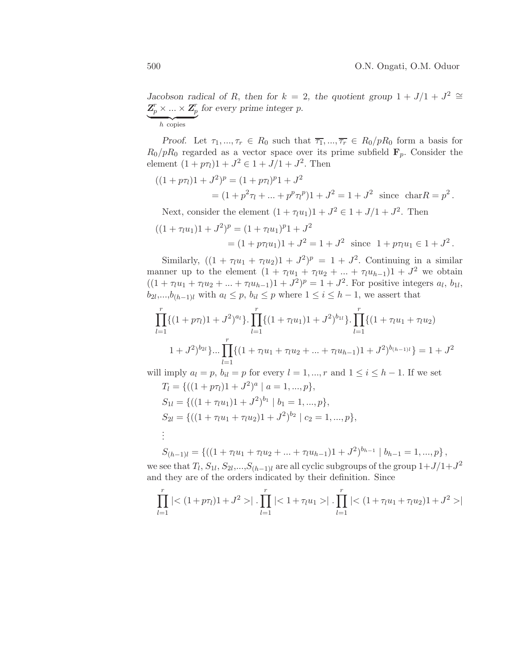Jacobson radical of R, then for  $k = 2$ , the quotient group  $1 + J/1 + J^2 \cong$  $\mathbf{Z}_p^r \times \ldots \times \mathbf{Z}_p^r$  for every prime integer p.

 $\overline{h}$  copies

Proof. Let  $\tau_1, ..., \tau_r \in R_0$  such that  $\overline{\tau_1}, ..., \overline{\tau_r} \in R_0/pR_0$  form a basis for  $R_0/pR_0$  regarded as a vector space over its prime subfield  $\mathbf{F}_p$ . Consider the element  $(1 + p\tau_l)1 + J^2 \in 1 + J/1 + J^2$ . Then

$$
((1 + p\tau_l)1 + J^2)^p = (1 + p\tau_l)^p 1 + J^2
$$
  
=  $(1 + p^2 \tau_l + ... + p^p \tau_l^p) 1 + J^2 = 1 + J^2$  since  $\text{char } R = p^2$ .

Next, consider the element  $(1 + \tau_l u_1)1 + J^2 \in 1 + J/1 + J^2$ . Then

$$
((1 + \tau_l u_1)1 + J^2)^p = (1 + \tau_l u_1)^p 1 + J^2
$$
  
=  $(1 + p\tau_l u_1)1 + J^2 = 1 + J^2$  since  $1 + p\tau_l u_1 \in 1 + J^2$ .

Similarly,  $((1 + \tau_l u_1 + \tau_l u_2)1 + J^2)^p = 1 + J^2$ . Continuing in a similar manner up to the element  $(1 + \tau_l u_1 + \tau_l u_2 + ... + \tau_l u_{h-1})1 + J^2$  we obtain  $((1 + \tau_l u_1 + \tau_l u_2 + ... + \tau_l u_{h-1})1 + J^2)^p = 1 + J^2$ . For positive integers  $a_l, b_{1l}$ ,  $b_{2l},...,b_{(h-1)l}$  with  $a_l \leq p, b_{il} \leq p$  where  $1 \leq i \leq h-1$ , we assert that

$$
\prod_{l=1}^{r} \{(1+p\tau_l)1+J^2)^{a_l}\} \cdot \prod_{l=1}^{r} \{(1+\tau_l u_1)1+J^2)^{b_{1l}}\} \cdot \prod_{l=1}^{r} \{(1+\tau_l u_1+\tau_l u_2) \\
1+J^2)^{b_{2l}}\} \cdots \prod_{l=1}^{r} \{(1+\tau_l u_1+\tau_l u_2+...+\tau_l u_{h-1})1+J^2\}^{b_{(h-1)l}}\} = 1+J^2
$$

will imply  $a_l = p$ ,  $b_{il} = p$  for every  $l = 1, ..., r$  and  $1 \le i \le h - 1$ . If we set

$$
T_l = \{ ((1 + p\tau_l)1 + J^2)^a | a = 1, ..., p \},
$$
  
\n
$$
S_{1l} = \{ ((1 + \tau_l u_1)1 + J^2)^{b_1} | b_1 = 1, ..., p \},
$$
  
\n
$$
S_{2l} = \{ ((1 + \tau_l u_1 + \tau_l u_2)1 + J^2)^{b_2} | c_2 = 1, ..., p \},
$$
  
\n
$$
\vdots
$$

 $S_{(h-1)l} = \{((1 + \tau_l u_1 + \tau_l u_2 + \dots + \tau_l u_{h-1})1 + J^2)^{b_{h-1}} | b_{h-1} = 1, ..., p\},\$ 

we see that  $T_l$ ,  $S_{1l}$ ,  $S_{2l}$ ,..., $S_{(h-1)l}$  are all cyclic subgroups of the group  $1+J/1+J^2$ and they are of the orders indicated by their definition. Since

$$
\prod_{l=1}^r | \langle (1+p\tau_l)1+J^2 \rangle | \cdot \prod_{l=1}^r | \langle 1+\tau_l u_1 \rangle | \cdot \prod_{l=1}^r | \langle (1+\tau_l u_1 + \tau_l u_2)1+J^2 \rangle |
$$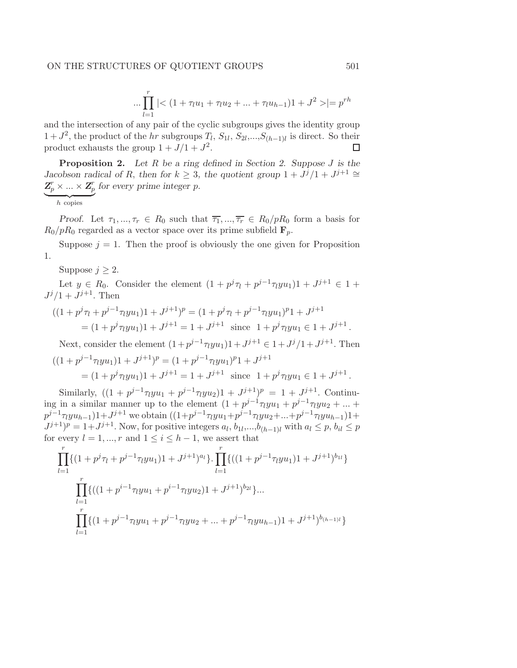$$
\dots \prod_{l=1}^r |< (1+\tau_l u_1 + \tau_l u_2 + \dots + \tau_l u_{h-1})1 + J^2 > = p^{rh}
$$

and the intersection of any pair of the cyclic subgroups gives the identity group  $1 + J^2$ , the product of the hr subgroups  $T_l$ ,  $S_{1l}$ ,  $S_{2l}$ ,..., $S_{(h-1)l}$  is direct. So their product exhausts the group  $1 + J/1 + J^2$ .  $\Box$ 

**Proposition 2.** Let R be a ring defined in Section 2. Suppose J is the Jacobson radical of R, then for  $k \geq 3$ , the quotient group  $1 + J^{j} / 1 + J^{j+1} \cong$  $\mathbf{Z}_p^r\times ... \times \mathbf{Z}_p^r$ for every prime integer p.

 $\overline{h}$  copies

Proof. Let  $\tau_1, ..., \tau_r \in R_0$  such that  $\overline{\tau_1}, ..., \overline{\tau_r} \in R_0/pR_0$  form a basis for  $R_0/pR_0$  regarded as a vector space over its prime subfield  $\mathbf{F}_p$ .

Suppose  $j = 1$ . Then the proof is obviously the one given for Proposition 1.

Suppose  $j \geq 2$ .

Let  $y \in R_0$ . Consider the element  $(1 + p^j \tau_l + p^{j-1} \tau_l y u_1) 1 + J^{j+1} \in 1 +$  $J^j/1+J^{j+1}$ . Then

$$
((1 + p^{j} \tau_l + p^{j-1} \tau_l y u_1) 1 + J^{j+1})^p = (1 + p^{j} \tau_l + p^{j-1} \tau_l y u_1)^p 1 + J^{j+1}
$$
  
=  $(1 + p^{j} \tau_l y u_1) 1 + J^{j+1} = 1 + J^{j+1}$  since  $1 + p^{j} \tau_l y u_1 \in 1 + J^{j+1}$ .

Next, consider the element  $(1+p^{j-1}\tau_lyu_1)1+J^{j+1} \in 1+J^j/1+J^{j+1}$ . Then

$$
((1 + p^{j-1}\pi y u_1)1 + J^{j+1})^p = (1 + p^{j-1}\pi y u_1)^p 1 + J^{j+1}
$$
  
=  $(1 + p^j \pi y u_1) 1 + J^{j+1} = 1 + J^{j+1}$  since  $1 + p^j \pi y u_1 \in 1 + J^{j+1}$ .

Similarly,  $((1 + p^{j-1}\tau_lyu_1 + p^{j-1}\tau_lyu_2)1 + J^{j+1})^p = 1 + J^{j+1}$ . Continuing in a similar manner up to the element  $(1 + p^{j-1}\tau_l y u_1 + p^{j-1}\tau_l y u_2 + ... +$  $p^{j-1}\tau_l y u_{h-1}$ )1+ $J^{j+1}$  we obtain  $((1+p^{j-1}\tau_l y u_1+p^{j-1}\tau_l y u_2+...+p^{j-1}\tau_l y u_{h-1})1+$  $J^{j+1}$ )<sup>p</sup> = 1+ $J^{j+1}$ . Now, for positive integers  $a_l, b_{1l},...,b_{(h-1)l}$  with  $a_l \leq p, b_{il} \leq p$ for every  $l = 1, ..., r$  and  $1 \leq i \leq h - 1$ , we assert that

$$
\prod_{l=1}^{r} \{(1+p^{j}\tau_{l}+p^{j-1}\tau_{l}yu_{1})1+J^{j+1})^{a_{l}}\}\cdot \prod_{l=1}^{r} \{((1+p^{j-1}\tau_{l}yu_{1})1+J^{j+1})^{b_{1l}}\}\
$$

$$
\prod_{l=1}^{r} \{((1+p^{i-1}\tau_{l}yu_{1}+p^{i-1}\tau_{l}yu_{2})1+J^{j+1})^{b_{2l}}\}\dots
$$

$$
\prod_{l=1}^{r} \{(1+p^{j-1}\tau_{l}yu_{1}+p^{j-1}\tau_{l}yu_{2}+...+p^{j-1}\tau_{l}yu_{h-1})1+J^{j+1}\}^{b_{(h-1)l}}\}
$$